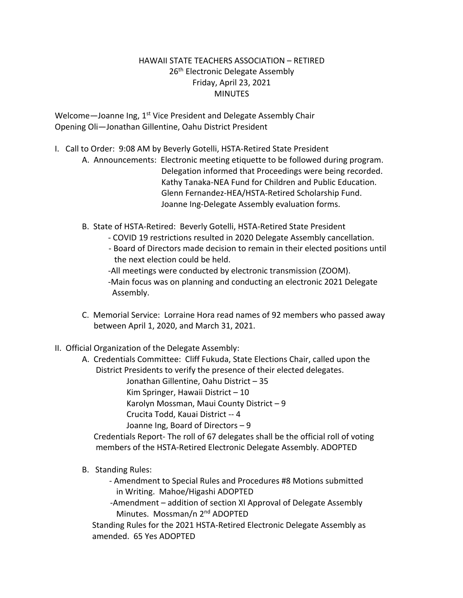## HAWAII STATE TEACHERS ASSOCIATION – RETIRED 26<sup>th</sup> Electronic Delegate Assembly Friday, April 23, 2021 **MINUTES**

Welcome-Joanne Ing, 1<sup>st</sup> Vice President and Delegate Assembly Chair Opening Oli—Jonathan Gillentine, Oahu District President

- I. Call to Order: 9:08 AM by Beverly Gotelli, HSTA-Retired State President
	- A. Announcements: Electronic meeting etiquette to be followed during program. Delegation informed that Proceedings were being recorded. Kathy Tanaka-NEA Fund for Children and Public Education. Glenn Fernandez-HEA/HSTA-Retired Scholarship Fund. Joanne Ing-Delegate Assembly evaluation forms.
	- B. State of HSTA-Retired: Beverly Gotelli, HSTA-Retired State President
		- COVID 19 restrictions resulted in 2020 Delegate Assembly cancellation.
		- Board of Directors made decision to remain in their elected positions until the next election could be held.
		- -All meetings were conducted by electronic transmission (ZOOM).
		- -Main focus was on planning and conducting an electronic 2021 Delegate Assembly.
	- C. Memorial Service: Lorraine Hora read names of 92 members who passed away between April 1, 2020, and March 31, 2021.
- II. Official Organization of the Delegate Assembly:
	- A. Credentials Committee: Cliff Fukuda, State Elections Chair, called upon the District Presidents to verify the presence of their elected delegates.

Jonathan Gillentine, Oahu District – 35

Kim Springer, Hawaii District – 10

Karolyn Mossman, Maui County District – 9

Crucita Todd, Kauai District -- 4

Joanne Ing, Board of Directors – 9

 Credentials Report- The roll of 67 delegates shall be the official roll of voting members of the HSTA-Retired Electronic Delegate Assembly. ADOPTED

- B. Standing Rules:
	- Amendment to Special Rules and Procedures #8 Motions submitted in Writing. Mahoe/Higashi ADOPTED
	- -Amendment addition of section XI Approval of Delegate Assembly Minutes. Mossman/n 2nd ADOPTED

 Standing Rules for the 2021 HSTA-Retired Electronic Delegate Assembly as amended. 65 Yes ADOPTED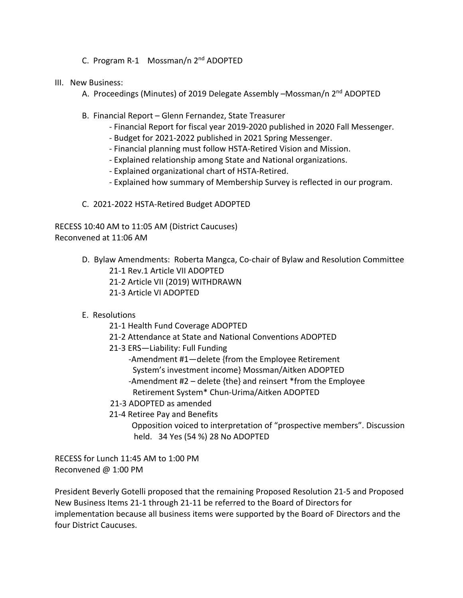- C. Program R-1 Mossman/n 2nd ADOPTED
- III. New Business:
	- A. Proceedings (Minutes) of 2019 Delegate Assembly -Mossman/n 2<sup>nd</sup> ADOPTED
	- B. Financial Report Glenn Fernandez, State Treasurer
		- Financial Report for fiscal year 2019-2020 published in 2020 Fall Messenger.
		- Budget for 2021-2022 published in 2021 Spring Messenger.
		- Financial planning must follow HSTA-Retired Vision and Mission.
		- Explained relationship among State and National organizations.
		- Explained organizational chart of HSTA-Retired.
		- Explained how summary of Membership Survey is reflected in our program.
	- C. 2021-2022 HSTA-Retired Budget ADOPTED

RECESS 10:40 AM to 11:05 AM (District Caucuses) Reconvened at 11:06 AM

- D. Bylaw Amendments: Roberta Mangca, Co-chair of Bylaw and Resolution Committee 21-1 Rev.1 Article VII ADOPTED
	- 21-2 Article VII (2019) WITHDRAWN
	- 21-3 Article VI ADOPTED
- E. Resolutions
	- 21-1 Health Fund Coverage ADOPTED
	- 21-2 Attendance at State and National Conventions ADOPTED
	- 21-3 ERS—Liability: Full Funding
		- -Amendment #1—delete {from the Employee Retirement System's investment income} Mossman/Aitken ADOPTED -Amendment #2 – delete {the} and reinsert \*from the Employee
		- Retirement System\* Chun-Urima/Aitken ADOPTED
	- 21-3 ADOPTED as amended
	- 21-4 Retiree Pay and Benefits

 Opposition voiced to interpretation of "prospective members". Discussion held. 34 Yes (54 %) 28 No ADOPTED

RECESS for Lunch 11:45 AM to 1:00 PM Reconvened @ 1:00 PM

President Beverly Gotelli proposed that the remaining Proposed Resolution 21-5 and Proposed New Business Items 21-1 through 21-11 be referred to the Board of Directors for implementation because all business items were supported by the Board oF Directors and the four District Caucuses.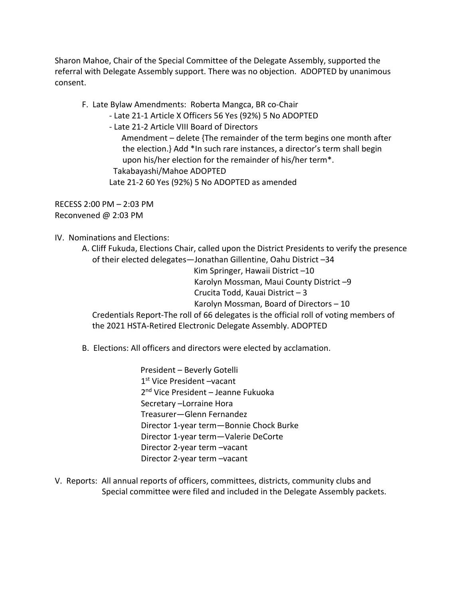Sharon Mahoe, Chair of the Special Committee of the Delegate Assembly, supported the referral with Delegate Assembly support. There was no objection. ADOPTED by unanimous consent.

F. Late Bylaw Amendments: Roberta Mangca, BR co-Chair

- Late 21-1 Article X Officers 56 Yes (92%) 5 No ADOPTED

- Late 21-2 Article VIII Board of Directors

 Amendment – delete {The remainder of the term begins one month after the election.} Add \*In such rare instances, a director's term shall begin upon his/her election for the remainder of his/her term\*. Takabayashi/Mahoe ADOPTED Late 21-2 60 Yes (92%) 5 No ADOPTED as amended

RECESS 2:00 PM – 2:03 PM Reconvened @ 2:03 PM

IV. Nominations and Elections:

A. Cliff Fukuda, Elections Chair, called upon the District Presidents to verify the presence of their elected delegates—Jonathan Gillentine, Oahu District –34 Kim Springer, Hawaii District –10 Karolyn Mossman, Maui County District –9 Crucita Todd, Kauai District – 3 Karolyn Mossman, Board of Directors – 10 Credentials Report-The roll of 66 delegates is the official roll of voting members of the 2021 HSTA-Retired Electronic Delegate Assembly. ADOPTED

B. Elections: All officers and directors were elected by acclamation.

 President – Beverly Gotelli 1st Vice President –vacant 2nd Vice President – Jeanne Fukuoka Secretary –Lorraine Hora Treasurer—Glenn Fernandez Director 1-year term—Bonnie Chock Burke Director 1-year term—Valerie DeCorte Director 2-year term –vacant Director 2-year term –vacant

V. Reports: All annual reports of officers, committees, districts, community clubs and Special committee were filed and included in the Delegate Assembly packets.